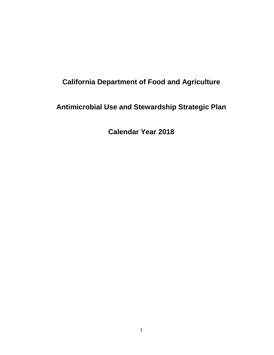# **California Department of Food and Agriculture**

# **Antimicrobial Use and Stewardship Strategic Plan**

**Calendar Year 2018**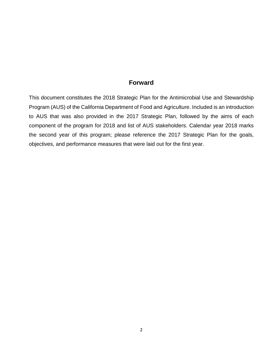#### **Forward**

This document constitutes the 2018 Strategic Plan for the Antimicrobial Use and Stewardship Program (AUS) of the California Department of Food and Agriculture. Included is an introduction to AUS that was also provided in the 2017 Strategic Plan, followed by the aims of each component of the program for 2018 and list of AUS stakeholders. Calendar year 2018 marks the second year of this program; please reference the 2017 Strategic Plan for the goals, objectives, and performance measures that were laid out for the first year.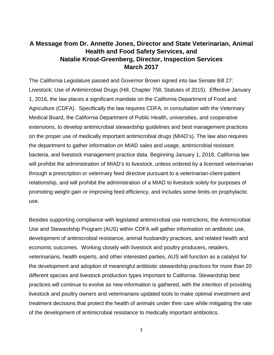## **A Message from Dr. Annette Jones, Director and State Veterinarian, Animal Health and Food Safety Services, and Natalie Krout-Greenberg, Director, Inspection Services March 2017**

The California Legislature passed and Governor Brown signed into law Senate Bill 27: Livestock: Use of Antimicrobial Drugs (Hill, Chapter 758, Statutes of 2015). Effective January 1, 2016, the law places a significant mandate on the California Department of Food and Agriculture (CDFA). Specifically the law requires CDFA, in consultation with the Veterinary Medical Board, the California Department of Public Health, universities, and cooperative extensions, to develop antimicrobial stewardship guidelines and best management practices on the proper use of medically important antimicrobial drugs (MIAD's). The law also requires the department to gather information on MIAD sales and usage, antimicrobial resistant bacteria, and livestock management practice data. Beginning January 1, 2018, California law will prohibit the administration of MIAD's to livestock, unless ordered by a licensed veterinarian through a prescription or veterinary feed directive pursuant to a veterinarian-client-patient relationship, and will prohibit the administration of a MIAD to livestock solely for purposes of promoting weight gain or improving feed efficiency, and includes some limits on prophylactic use.

Besides supporting compliance with legislated antimicrobial use restrictions, the Antimicrobial Use and Stewardship Program (AUS) within CDFA will gather information on antibiotic use, development of antimicrobial resistance, animal husbandry practices, and related health and economic outcomes. Working closely with livestock and poultry producers, retailers, veterinarians, health experts, and other interested parties, AUS will function as a catalyst for the development and adoption of meaningful antibiotic stewardship practices for more than 20 different species and livestock production types important to California. Stewardship best practices will continue to evolve as new information is gathered, with the intention of providing livestock and poultry owners and veterinarians updated tools to make optimal investment and treatment decisions that protect the health of animals under their care while mitigating the rate of the development of antimicrobial resistance to medically important antibiotics.

3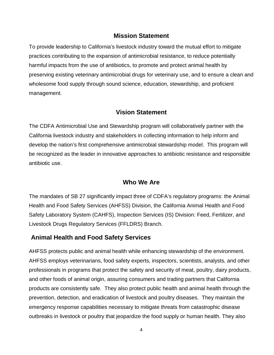#### **Mission Statement**

To provide leadership to California's livestock industry toward the mutual effort to mitigate practices contributing to the expansion of antimicrobial resistance, to reduce potentially harmful impacts from the use of antibiotics, to promote and protect animal health by preserving existing veterinary antimicrobial drugs for veterinary use, and to ensure a clean and wholesome food supply through sound science, education, stewardship, and proficient management.

#### **Vision Statement**

The CDFA Antimicrobial Use and Stewardship program will collaboratively partner with the California livestock industry and stakeholders in collecting information to help inform and develop the nation's first comprehensive antimicrobial stewardship model. This program will be recognized as the leader in innovative approaches to antibiotic resistance and responsible antibiotic use.

#### **Who We Are**

The mandates of SB 27 significantly impact three of CDFA's regulatory programs: the Animal Health and Food Safety Services (AHFSS) Division, the California Animal Health and Food Safety Laboratory System (CAHFS), Inspection Services (IS) Division: Feed, Fertilizer, and Livestock Drugs Regulatory Services (FFLDRS) Branch.

#### **Animal Health and Food Safety Services**

AHFSS protects public and animal health while enhancing stewardship of the environment. AHFSS employs veterinarians, food safety experts, inspectors, scientists, analysts, and other professionals in programs that protect the safety and security of meat, poultry, dairy products, and other foods of animal origin, assuring consumers and trading partners that California products are consistently safe. They also protect public health and animal health through the prevention, detection, and eradication of livestock and poultry diseases. They maintain the emergency response capabilities necessary to mitigate threats from catastrophic disease outbreaks in livestock or poultry that jeopardize the food supply or human health. They also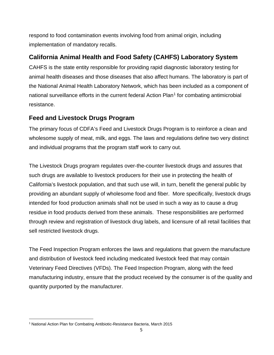respond to food contamination events involving food from animal origin, including implementation of mandatory recalls.

## **California Animal Health and Food Safety (CAHFS) Laboratory System**

CAHFS is the state entity responsible for providing rapid diagnostic laboratory testing for animal health diseases and those diseases that also affect humans. The laboratory is part of the National Animal Health Laboratory Network, which has been included as a component of national surveillance efforts in the current federal Action Plan<sup>[1](#page-4-0)</sup> for combating antimicrobial resistance.

## **Feed and Livestock Drugs Program**

The primary focus of CDFA's Feed and Livestock Drugs Program is to reinforce a clean and wholesome supply of meat, milk, and eggs. The laws and regulations define two very distinct and individual programs that the program staff work to carry out.

The Livestock Drugs program regulates over-the-counter livestock drugs and assures that such drugs are available to livestock producers for their use in protecting the health of California's livestock population, and that such use will, in turn, benefit the general public by providing an abundant supply of wholesome food and fiber. More specifically, livestock drugs intended for food production animals shall not be used in such a way as to cause a drug residue in food products derived from these animals. These responsibilities are performed through review and registration of livestock drug labels, and licensure of all retail facilities that sell restricted livestock drugs.

The Feed Inspection Program enforces the laws and regulations that govern the manufacture and distribution of livestock feed including medicated livestock feed that may contain Veterinary Feed Directives (VFDs). The Feed Inspection Program, along with the feed manufacturing industry, ensure that the product received by the consumer is of the quality and quantity purported by the manufacturer.

 $\overline{a}$ 

<span id="page-4-0"></span><sup>1</sup> National Action Plan for Combating Antibiotic-Resistance Bacteria, March 2015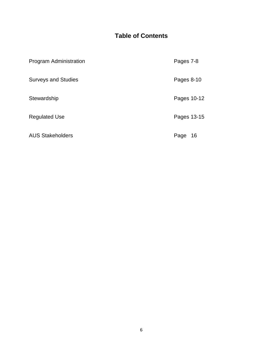## **Table of Contents**

| Program Administration     | Pages 7-8   |
|----------------------------|-------------|
| <b>Surveys and Studies</b> | Pages 8-10  |
| Stewardship                | Pages 10-12 |
| <b>Regulated Use</b>       | Pages 13-15 |
| <b>AUS Stakeholders</b>    | Page<br>16  |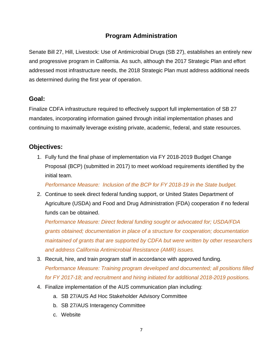## **Program Administration**

Senate Bill 27, Hill, Livestock: Use of Antimicrobial Drugs (SB 27), establishes an entirely new and progressive program in California. As such, although the 2017 Strategic Plan and effort addressed most infrastructure needs, the 2018 Strategic Plan must address additional needs as determined during the first year of operation.

#### **Goal:**

Finalize CDFA infrastructure required to effectively support full implementation of SB 27 mandates, incorporating information gained through initial implementation phases and continuing to maximally leverage existing private, academic, federal, and state resources.

## **Objectives:**

1. Fully fund the final phase of implementation via FY 2018-2019 Budget Change Proposal (BCP) (submitted in 2017) to meet workload requirements identified by the initial team.

*Performance Measure: Inclusion of the BCP for FY 2018-19 in the State budget.*

2. Continue to seek direct federal funding support, or United States Department of Agriculture (USDA) and Food and Drug Administration (FDA) cooperation if no federal funds can be obtained.

*Performance Measure: Direct federal funding sought or advocated for; USDA/FDA grants obtained; documentation in place of a structure for cooperation; documentation maintained of grants that are supported by CDFA but were written by other researchers and address California Antimicrobial Resistance (AMR) issues.*

- 3. Recruit, hire, and train program staff in accordance with approved funding. *Performance Measure: Training program developed and documented; all positions filled for FY 2017-18; and recruitment and hiring initiated for additional 2018-2019 positions.*
- 4. Finalize implementation of the AUS communication plan including:
	- a. SB 27/AUS Ad Hoc Stakeholder Advisory Committee
	- b. SB 27/AUS Interagency Committee
	- c. Website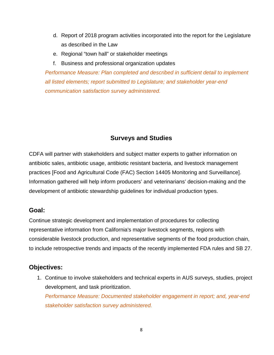- d. Report of 2018 program activities incorporated into the report for the Legislature as described in the Law
- e. Regional "town hall" or stakeholder meetings
- f. Business and professional organization updates

*Performance Measure: Plan completed and described in sufficient detail to implement all listed elements; report submitted to Legislature; and stakeholder year-end communication satisfaction survey administered.*

## **Surveys and Studies**

CDFA will partner with stakeholders and subject matter experts to gather information on antibiotic sales, antibiotic usage, antibiotic resistant bacteria, and livestock management practices [Food and Agricultural Code (FAC) Section 14405 Monitoring and Surveillance]. Information gathered will help inform producers' and veterinarians' decision-making and the development of antibiotic stewardship guidelines for individual production types.

#### **Goal:**

Continue strategic development and implementation of procedures for collecting representative information from California's major livestock segments, regions with considerable livestock production, and representative segments of the food production chain, to include retrospective trends and impacts of the recently implemented FDA rules and SB 27.

#### **Objectives:**

1. Continue to involve stakeholders and technical experts in AUS surveys, studies, project development, and task prioritization. *Performance Measure: Documented stakeholder engagement in report; and, year-end*

*stakeholder satisfaction survey administered.*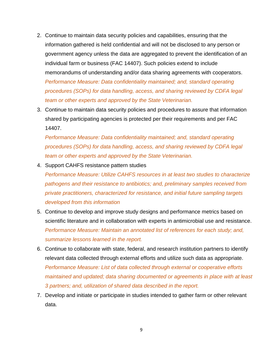- 2. Continue to maintain data security policies and capabilities, ensuring that the information gathered is held confidential and will not be disclosed to any person or government agency unless the data are aggregated to prevent the identification of an individual farm or business (FAC 14407). Such policies extend to include memorandums of understanding and/or data sharing agreements with cooperators. *Performance Measure: Data confidentiality maintained; and, standard operating procedures (SOPs) for data handling, access, and sharing reviewed by CDFA legal team or other experts and approved by the State Veterinarian.*
- 3. Continue to maintain data security policies and procedures to assure that information shared by participating agencies is protected per their requirements and per FAC 14407.

*Performance Measure: Data confidentiality maintained; and, standard operating procedures (SOPs) for data handling, access, and sharing reviewed by CDFA legal team or other experts and approved by the State Veterinarian.*

4. Support CAHFS resistance pattern studies

*Performance Measure: Utilize CAHFS resources in at least two studies to characterize pathogens and their resistance to antibiotics; and, preliminary samples received from private practitioners, characterized for resistance, and initial future sampling targets developed from this information*

- 5. Continue to develop and improve study designs and performance metrics based on scientific literature and in collaboration with experts in antimicrobial use and resistance. *Performance Measure: Maintain an annotated list of references for each study; and, summarize lessons learned in the report.*
- 6. Continue to collaborate with state, federal, and research institution partners to identify relevant data collected through external efforts and utilize such data as appropriate. *Performance Measure: List of data collected through external or cooperative efforts maintained and updated; data sharing documented or agreements in place with at least 3 partners; and, utilization of shared data described in the report.*
- 7. Develop and initiate or participate in studies intended to gather farm or other relevant data.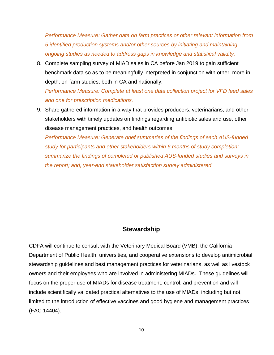*Performance Measure: Gather data on farm practices or other relevant information from 5 identified production systems and/or other sources by initiating and maintaining ongoing studies as needed to address gaps in knowledge and statistical validity.*

8. Complete sampling survey of MIAD sales in CA before Jan 2019 to gain sufficient benchmark data so as to be meaningfully interpreted in conjunction with other, more indepth, on-farm studies, both in CA and nationally.

*Performance Measure: Complete at least one data collection project for VFD feed sales and one for prescription medications.* 

9. Share gathered information in a way that provides producers, veterinarians, and other stakeholders with timely updates on findings regarding antibiotic sales and use, other disease management practices, and health outcomes.

*Performance Measure: Generate brief summaries of the findings of each AUS-funded study for participants and other stakeholders within 6 months of study completion; summarize the findings of completed or published AUS-funded studies and surveys in the report; and, year-end stakeholder satisfaction survey administered.*

#### **Stewardship**

CDFA will continue to consult with the Veterinary Medical Board (VMB), the California Department of Public Health, universities, and cooperative extensions to develop antimicrobial stewardship guidelines and best management practices for veterinarians, as well as livestock owners and their employees who are involved in administering MIADs. These guidelines will focus on the proper use of MIADs for disease treatment, control, and prevention and will include scientifically validated practical alternatives to the use of MIADs, including but not limited to the introduction of effective vaccines and good hygiene and management practices (FAC 14404).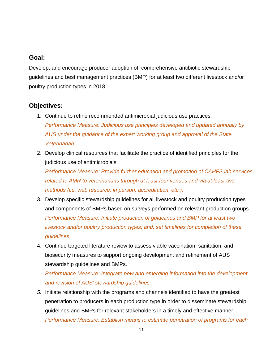## **Goal:**

Develop, and encourage producer adoption of, comprehensive antibiotic stewardship guidelines and best management practices (BMP) for at least two different livestock and/or poultry production types in 2018.

## **Objectives:**

- 1. Continue to refine recommended antimicrobial judicious use practices. *Performance Measure: Judicious use principles developed and updated annually by AUS under the guidance of the expert working group and approval of the State Veterinarian.*
- 2. Develop clinical resources that facilitate the practice of identified principles for the judicious use of antimicrobials.

*Performance Measure: Provide further education and promotion of CAHFS lab services related to AMR to veterinarians through at least four venues and via at least two methods (i.e. web resource, in person, accreditation, etc.).*

- 3. Develop specific stewardship guidelines for all livestock and poultry production types and components of BMPs based on surveys performed on relevant production groups. *Performance Measure: Initiate production of guidelines and BMP for at least two livestock and/or poultry production types; and, set timelines for completion of these guidelines.*
- 4. Continue targeted literature review to assess viable vaccination, sanitation, and biosecurity measures to support ongoing development and refinement of AUS stewardship guidelines and BMPs.

*Performance Measure: Integrate new and emerging information into the development and revision of AUS' stewardship guidelines.*

*5.* Initiate relationship with the programs and channels identified to have the greatest penetration to producers in each production type in order to disseminate stewardship guidelines and BMPs for relevant stakeholders in a timely and effective manner. *Performance Measure: Establish means to estimate penetration of programs for each*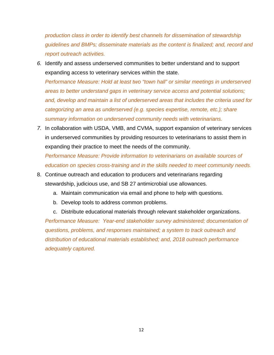*production class in order to identify best channels for dissemination of stewardship guidelines and BMPs; disseminate materials as the content is finalized; and, record and report outreach activities.* 

*6.* Identify and assess underserved communities to better understand and to support expanding access to veterinary services within the state.

*Performance Measure: Hold at least two "town hall" or similar meetings in underserved areas to better understand gaps in veterinary service access and potential solutions; and, develop and maintain a list of underserved areas that includes the criteria used for categorizing an area as underserved (e.g. species expertise, remote, etc.); share summary information on underserved community needs with veterinarians.*

*7.* In collaboration with USDA, VMB, and CVMA, support expansion of veterinary services in underserved communities by providing resources to veterinarians to assist them in expanding their practice to meet the needs of the community.

*Performance Measure: Provide information to veterinarians on available sources of education on species cross-training and in the skills needed to meet community needs.* 

- 8. Continue outreach and education to producers and veterinarians regarding stewardship, judicious use, and SB 27 antimicrobial use allowances.
	- a. Maintain communication via email and phone to help with questions.
	- b. Develop tools to address common problems.
	- c. Distribute educational materials through relevant stakeholder organizations.

*Performance Measure: Year-end stakeholder survey administered; documentation of questions, problems, and responses maintained; a system to track outreach and distribution of educational materials established; and, 2018 outreach performance adequately captured.*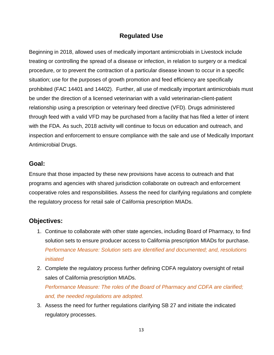## **Regulated Use**

Beginning in 2018, allowed uses of medically important antimicrobials in Livestock include treating or controlling the spread of a disease or infection, in relation to surgery or a medical procedure, or to prevent the contraction of a particular disease known to occur in a specific situation; use for the purposes of growth promotion and feed efficiency are specifically prohibited (FAC 14401 and 14402). Further, all use of medically important antimicrobials must be under the direction of a licensed veterinarian with a valid veterinarian-client-patient relationship using a prescription or veterinary feed directive (VFD). Drugs administered through feed with a valid VFD may be purchased from a facility that has filed a letter of intent with the FDA. As such, 2018 activity will continue to focus on education and outreach, and inspection and enforcement to ensure compliance with the sale and use of Medically Important Antimicrobial Drugs.

#### **Goal:**

Ensure that those impacted by these new provisions have access to outreach and that programs and agencies with shared jurisdiction collaborate on outreach and enforcement cooperative roles and responsibilities. Assess the need for clarifying regulations and complete the regulatory process for retail sale of California prescription MIADs.

#### **Objectives:**

- 1. Continue to collaborate with other state agencies, including Board of Pharmacy, to find solution sets to ensure producer access to California prescription MIADs for purchase. *Performance Measure: Solution sets are identified and documented; and, resolutions initiated*
- 2. Complete the regulatory process further defining CDFA regulatory oversight of retail sales of California prescription MIADs. *Performance Measure: The roles of the Board of Pharmacy and CDFA are clarified; and, the needed regulations are adopted.*
- 3. Assess the need for further regulations clarifying SB 27 and initiate the indicated regulatory processes.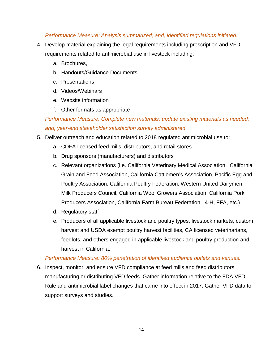#### *Performance Measure: Analysis summarized; and, identified regulations initiated.*

- 4. Develop material explaining the legal requirements including prescription and VFD requirements related to antimicrobial use in livestock including:
	- a. Brochures,
	- b. Handouts/Guidance Documents
	- c. Presentations
	- d. Videos/Webinars
	- e. Website information
	- f. Other formats as appropriate

*Performance Measure: Complete new materials; update existing materials as needed; and, year-end stakeholder satisfaction survey administered.*

- 5. Deliver outreach and education related to 2018 regulated antimicrobial use to:
	- a. CDFA licensed feed mills, distributors, and retail stores
	- b. Drug sponsors (manufacturers) and distributors
	- c. Relevant organizations (i.e. California Veterinary Medical Association, California Grain and Feed Association, California Cattlemen's Association, Pacific Egg and Poultry Association, California Poultry Federation, Western United Dairymen, Milk Producers Council, California Wool Growers Association, California Pork Producers Association, California Farm Bureau Federation, 4-H, FFA, etc.)
	- d. Regulatory staff
	- e. Producers of all applicable livestock and poultry types, livestock markets, custom harvest and USDA exempt poultry harvest facilities, CA licensed veterinarians, feedlots, and others engaged in applicable livestock and poultry production and harvest in California.

#### *Performance Measure: 80% penetration of identified audience outlets and venues.*

6. Inspect, monitor, and ensure VFD compliance at feed mills and feed distributors manufacturing or distributing VFD feeds. Gather information relative to the FDA VFD Rule and antimicrobial label changes that came into effect in 2017. Gather VFD data to support surveys and studies.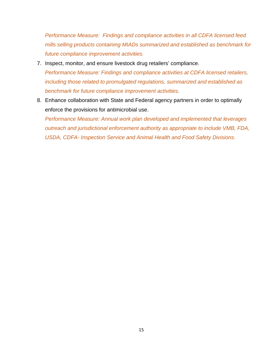*Performance Measure: Findings and compliance activities in all CDFA licensed feed mills selling products containing MIADs summarized and established as benchmark for future compliance improvement activities.*

- 7. Inspect, monitor, and ensure livestock drug retailers' compliance. *Performance Measure: Findings and compliance activities at CDFA licensed retailers, including those related to promulgated regulations, summarized and established as benchmark for future compliance improvement activities.*
- 8. Enhance collaboration with State and Federal agency partners in order to optimally enforce the provisions for antimicrobial use. *Performance Measure: Annual work plan developed and implemented that leverages outreach and jurisdictional enforcement authority as appropriate to include VMB, FDA,*

*USDA, CDFA- Inspection Service and Animal Health and Food Safety Divisions.*